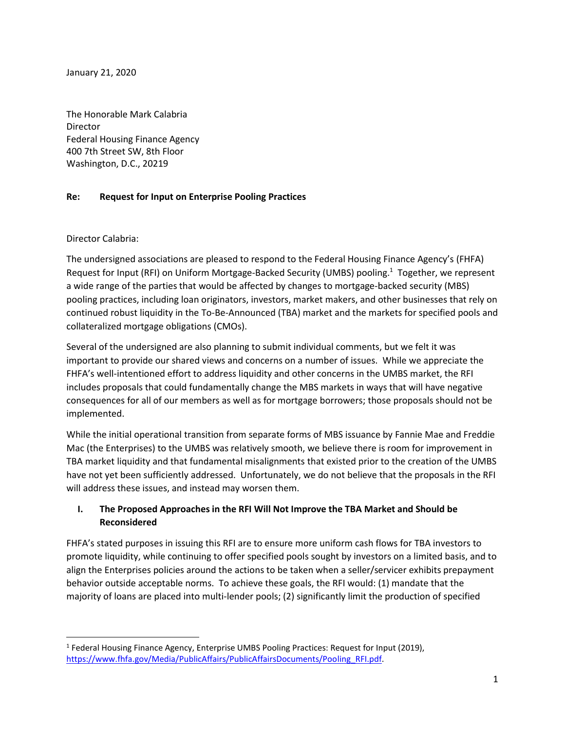January 21, 2020

The Honorable Mark Calabria Director Federal Housing Finance Agency 400 7th Street SW, 8th Floor Washington, D.C., 20219

### **Re: Request for Input on Enterprise Pooling Practices**

#### Director Calabria:

 $\overline{\phantom{a}}$ 

The undersigned associations are pleased to respond to the Federal Housing Finance Agency's (FHFA) Request for Input (RFI) on Uniform Mortgage-Backed Security (UMBS) pooling.<sup>1</sup> Together, we represent a wide range of the parties that would be affected by changes to mortgage-backed security (MBS) pooling practices, including loan originators, investors, market makers, and other businesses that rely on continued robust liquidity in the To-Be-Announced (TBA) market and the markets for specified pools and collateralized mortgage obligations (CMOs).

Several of the undersigned are also planning to submit individual comments, but we felt it was important to provide our shared views and concerns on a number of issues. While we appreciate the FHFA's well-intentioned effort to address liquidity and other concerns in the UMBS market, the RFI includes proposals that could fundamentally change the MBS markets in ways that will have negative consequences for all of our members as well as for mortgage borrowers; those proposals should not be implemented.

While the initial operational transition from separate forms of MBS issuance by Fannie Mae and Freddie Mac (the Enterprises) to the UMBS was relatively smooth, we believe there is room for improvement in TBA market liquidity and that fundamental misalignments that existed prior to the creation of the UMBS have not yet been sufficiently addressed. Unfortunately, we do not believe that the proposals in the RFI will address these issues, and instead may worsen them.

### **I. The Proposed Approaches in the RFI Will Not Improve the TBA Market and Should be Reconsidered**

FHFA's stated purposes in issuing this RFI are to ensure more uniform cash flows for TBA investors to promote liquidity, while continuing to offer specified pools sought by investors on a limited basis, and to align the Enterprises policies around the actions to be taken when a seller/servicer exhibits prepayment behavior outside acceptable norms. To achieve these goals, the RFI would: (1) mandate that the majority of loans are placed into multi-lender pools; (2) significantly limit the production of specified

<sup>&</sup>lt;sup>1</sup> Federal Housing Finance Agency, Enterprise UMBS Pooling Practices: Request for Input (2019), [https://www.fhfa.gov/Media/PublicAffairs/PublicAffairsDocuments/Pooling\\_RFI.pdf.](https://www.fhfa.gov/Media/PublicAffairs/PublicAffairsDocuments/Pooling_RFI.pdf)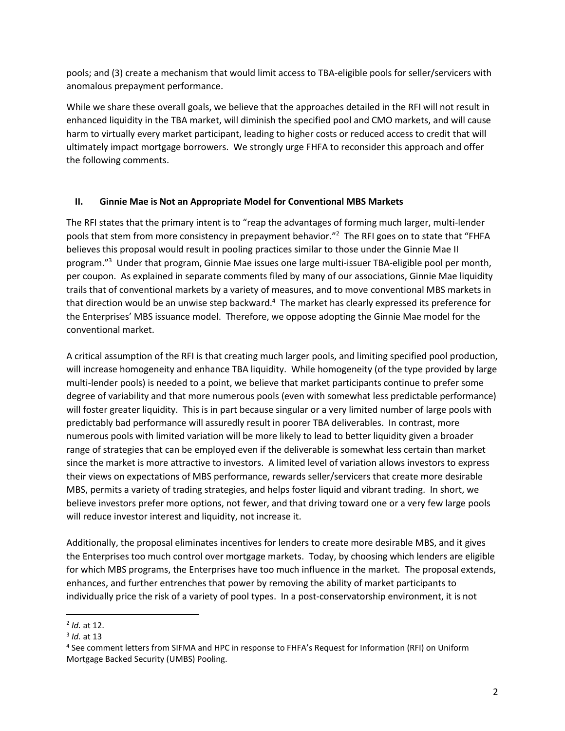pools; and (3) create a mechanism that would limit access to TBA-eligible pools for seller/servicers with anomalous prepayment performance.

While we share these overall goals, we believe that the approaches detailed in the RFI will not result in enhanced liquidity in the TBA market, will diminish the specified pool and CMO markets, and will cause harm to virtually every market participant, leading to higher costs or reduced access to credit that will ultimately impact mortgage borrowers. We strongly urge FHFA to reconsider this approach and offer the following comments.

#### **II. Ginnie Mae is Not an Appropriate Model for Conventional MBS Markets**

The RFI states that the primary intent is to "reap the advantages of forming much larger, multi-lender pools that stem from more consistency in prepayment behavior."<sup>2</sup> The RFI goes on to state that "FHFA believes this proposal would result in pooling practices similar to those under the Ginnie Mae II program."<sup>3</sup> Under that program, Ginnie Mae issues one large multi-issuer TBA-eligible pool per month, per coupon. As explained in separate comments filed by many of our associations, Ginnie Mae liquidity trails that of conventional markets by a variety of measures, and to move conventional MBS markets in that direction would be an unwise step backward.<sup>4</sup> The market has clearly expressed its preference for the Enterprises' MBS issuance model. Therefore, we oppose adopting the Ginnie Mae model for the conventional market.

A critical assumption of the RFI is that creating much larger pools, and limiting specified pool production, will increase homogeneity and enhance TBA liquidity. While homogeneity (of the type provided by large multi-lender pools) is needed to a point, we believe that market participants continue to prefer some degree of variability and that more numerous pools (even with somewhat less predictable performance) will foster greater liquidity. This is in part because singular or a very limited number of large pools with predictably bad performance will assuredly result in poorer TBA deliverables. In contrast, more numerous pools with limited variation will be more likely to lead to better liquidity given a broader range of strategies that can be employed even if the deliverable is somewhat less certain than market since the market is more attractive to investors. A limited level of variation allows investors to express their views on expectations of MBS performance, rewards seller/servicers that create more desirable MBS, permits a variety of trading strategies, and helps foster liquid and vibrant trading. In short, we believe investors prefer more options, not fewer, and that driving toward one or a very few large pools will reduce investor interest and liquidity, not increase it.

Additionally, the proposal eliminates incentives for lenders to create more desirable MBS, and it gives the Enterprises too much control over mortgage markets. Today, by choosing which lenders are eligible for which MBS programs, the Enterprises have too much influence in the market. The proposal extends, enhances, and further entrenches that power by removing the ability of market participants to individually price the risk of a variety of pool types. In a post-conservatorship environment, it is not

l

<sup>2</sup> *Id.* at 12.

<sup>3</sup> *Id.* at 13

<sup>4</sup> See comment letters from SIFMA and HPC in response to FHFA's Request for Information (RFI) on Uniform Mortgage Backed Security (UMBS) Pooling.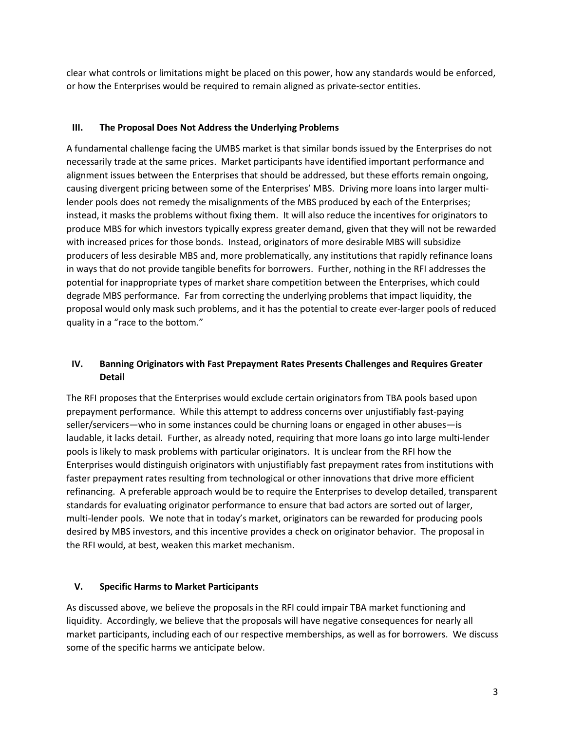clear what controls or limitations might be placed on this power, how any standards would be enforced, or how the Enterprises would be required to remain aligned as private-sector entities.

#### **III. The Proposal Does Not Address the Underlying Problems**

A fundamental challenge facing the UMBS market is that similar bonds issued by the Enterprises do not necessarily trade at the same prices. Market participants have identified important performance and alignment issues between the Enterprises that should be addressed, but these efforts remain ongoing, causing divergent pricing between some of the Enterprises' MBS. Driving more loans into larger multilender pools does not remedy the misalignments of the MBS produced by each of the Enterprises; instead, it masks the problems without fixing them. It will also reduce the incentives for originators to produce MBS for which investors typically express greater demand, given that they will not be rewarded with increased prices for those bonds. Instead, originators of more desirable MBS will subsidize producers of less desirable MBS and, more problematically, any institutions that rapidly refinance loans in ways that do not provide tangible benefits for borrowers. Further, nothing in the RFI addresses the potential for inappropriate types of market share competition between the Enterprises, which could degrade MBS performance. Far from correcting the underlying problems that impact liquidity, the proposal would only mask such problems, and it has the potential to create ever-larger pools of reduced quality in a "race to the bottom."

### **IV. Banning Originators with Fast Prepayment Rates Presents Challenges and Requires Greater Detail**

The RFI proposes that the Enterprises would exclude certain originators from TBA pools based upon prepayment performance. While this attempt to address concerns over unjustifiably fast-paying seller/servicers—who in some instances could be churning loans or engaged in other abuses—is laudable, it lacks detail. Further, as already noted, requiring that more loans go into large multi-lender pools is likely to mask problems with particular originators. It is unclear from the RFI how the Enterprises would distinguish originators with unjustifiably fast prepayment rates from institutions with faster prepayment rates resulting from technological or other innovations that drive more efficient refinancing. A preferable approach would be to require the Enterprises to develop detailed, transparent standards for evaluating originator performance to ensure that bad actors are sorted out of larger, multi-lender pools. We note that in today's market, originators can be rewarded for producing pools desired by MBS investors, and this incentive provides a check on originator behavior. The proposal in the RFI would, at best, weaken this market mechanism.

### **V. Specific Harms to Market Participants**

As discussed above, we believe the proposals in the RFI could impair TBA market functioning and liquidity. Accordingly, we believe that the proposals will have negative consequences for nearly all market participants, including each of our respective memberships, as well as for borrowers. We discuss some of the specific harms we anticipate below.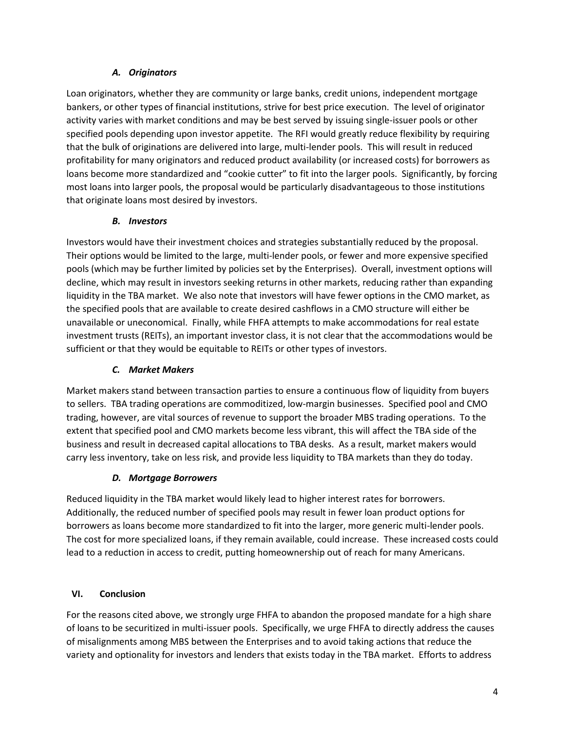# *A. Originators*

Loan originators, whether they are community or large banks, credit unions, independent mortgage bankers, or other types of financial institutions, strive for best price execution. The level of originator activity varies with market conditions and may be best served by issuing single-issuer pools or other specified pools depending upon investor appetite. The RFI would greatly reduce flexibility by requiring that the bulk of originations are delivered into large, multi-lender pools. This will result in reduced profitability for many originators and reduced product availability (or increased costs) for borrowers as loans become more standardized and "cookie cutter" to fit into the larger pools. Significantly, by forcing most loans into larger pools, the proposal would be particularly disadvantageous to those institutions that originate loans most desired by investors.

### *B. Investors*

Investors would have their investment choices and strategies substantially reduced by the proposal. Their options would be limited to the large, multi-lender pools, or fewer and more expensive specified pools (which may be further limited by policies set by the Enterprises). Overall, investment options will decline, which may result in investors seeking returns in other markets, reducing rather than expanding liquidity in the TBA market. We also note that investors will have fewer options in the CMO market, as the specified pools that are available to create desired cashflows in a CMO structure will either be unavailable or uneconomical. Finally, while FHFA attempts to make accommodations for real estate investment trusts (REITs), an important investor class, it is not clear that the accommodations would be sufficient or that they would be equitable to REITs or other types of investors.

# *C. Market Makers*

Market makers stand between transaction parties to ensure a continuous flow of liquidity from buyers to sellers. TBA trading operations are commoditized, low-margin businesses. Specified pool and CMO trading, however, are vital sources of revenue to support the broader MBS trading operations. To the extent that specified pool and CMO markets become less vibrant, this will affect the TBA side of the business and result in decreased capital allocations to TBA desks. As a result, market makers would carry less inventory, take on less risk, and provide less liquidity to TBA markets than they do today.

# *D. Mortgage Borrowers*

Reduced liquidity in the TBA market would likely lead to higher interest rates for borrowers. Additionally, the reduced number of specified pools may result in fewer loan product options for borrowers as loans become more standardized to fit into the larger, more generic multi-lender pools. The cost for more specialized loans, if they remain available, could increase. These increased costs could lead to a reduction in access to credit, putting homeownership out of reach for many Americans.

### **VI. Conclusion**

For the reasons cited above, we strongly urge FHFA to abandon the proposed mandate for a high share of loans to be securitized in multi-issuer pools. Specifically, we urge FHFA to directly address the causes of misalignments among MBS between the Enterprises and to avoid taking actions that reduce the variety and optionality for investors and lenders that exists today in the TBA market. Efforts to address